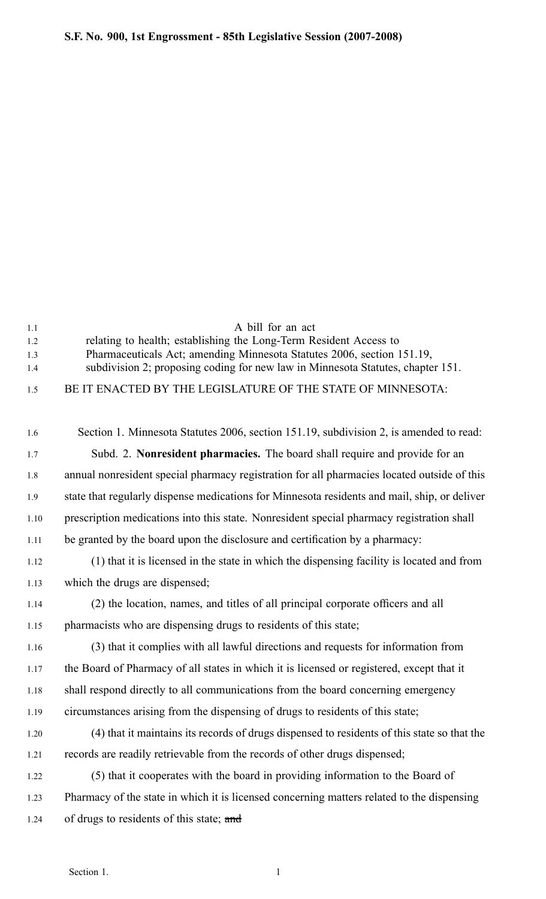| 1.1 | A bill for an act                                                               |
|-----|---------------------------------------------------------------------------------|
| 1.2 | relating to health; establishing the Long-Term Resident Access to               |
| 1.3 | Pharmaceuticals Act; amending Minnesota Statutes 2006, section 151.19,          |
| 14  | subdivision 2; proposing coding for new law in Minnesota Statutes, chapter 151. |
| 15  | BE IT ENACTED BY THE LEGISLATURE OF THE STATE OF MINNESOTA:                     |

| 1.6  | Section 1. Minnesota Statutes 2006, section 151.19, subdivision 2, is amended to read:       |
|------|----------------------------------------------------------------------------------------------|
| 1.7  | Subd. 2. Nonresident pharmacies. The board shall require and provide for an                  |
| 1.8  | annual nonresident special pharmacy registration for all pharmacies located outside of this  |
| 1.9  | state that regularly dispense medications for Minnesota residents and mail, ship, or deliver |
| 1.10 | prescription medications into this state. Nonresident special pharmacy registration shall    |
| 1.11 | be granted by the board upon the disclosure and certification by a pharmacy:                 |
| 1.12 | (1) that it is licensed in the state in which the dispensing facility is located and from    |
| 1.13 | which the drugs are dispensed;                                                               |
| 1.14 | (2) the location, names, and titles of all principal corporate officers and all              |
| 1.15 | pharmacists who are dispensing drugs to residents of this state;                             |
| 1.16 | (3) that it complies with all lawful directions and requests for information from            |
| 1.17 | the Board of Pharmacy of all states in which it is licensed or registered, except that it    |
| 1.18 | shall respond directly to all communications from the board concerning emergency             |
| 1.19 | circumstances arising from the dispensing of drugs to residents of this state;               |
| 1.20 | (4) that it maintains its records of drugs dispensed to residents of this state so that the  |
| 1.21 | records are readily retrievable from the records of other drugs dispensed;                   |
| 1.22 | (5) that it cooperates with the board in providing information to the Board of               |
| 1.23 | Pharmacy of the state in which it is licensed concerning matters related to the dispensing   |
| 1.24 | of drugs to residents of this state; and                                                     |
|      |                                                                                              |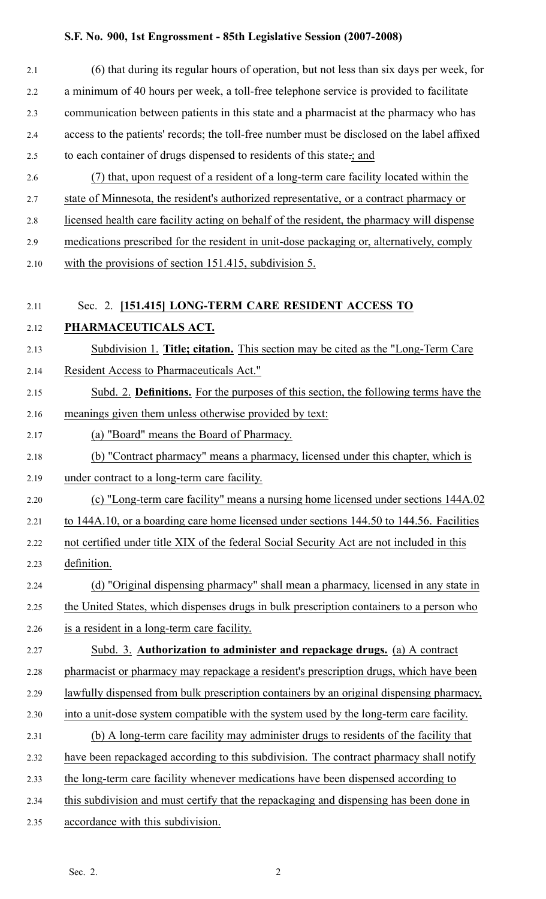## **S.F. No. 900, 1st Engrossment 85th Legislative Session (20072008)**

| (6) that during its regular hours of operation, but not less than six days per week, for     |
|----------------------------------------------------------------------------------------------|
| a minimum of 40 hours per week, a toll-free telephone service is provided to facilitate      |
| communication between patients in this state and a pharmacist at the pharmacy who has        |
| access to the patients' records; the toll-free number must be disclosed on the label affixed |
| to each container of drugs dispensed to residents of this state :; and                       |
| (7) that, upon request of a resident of a long-term care facility located within the         |
| state of Minnesota, the resident's authorized representative, or a contract pharmacy or      |
| licensed health care facility acting on behalf of the resident, the pharmacy will dispense   |
| medications prescribed for the resident in unit-dose packaging or, alternatively, comply     |
| with the provisions of section 151.415, subdivision 5.                                       |
| Sec. 2. [151.415] LONG-TERM CARE RESIDENT ACCESS TO                                          |
| PHARMACEUTICALS ACT.                                                                         |
| Subdivision 1. Title; citation. This section may be cited as the "Long-Term Care"            |
| Resident Access to Pharmaceuticals Act."                                                     |
| Subd. 2. Definitions. For the purposes of this section, the following terms have the         |
| meanings given them unless otherwise provided by text:                                       |
| (a) "Board" means the Board of Pharmacy.                                                     |
| (b) "Contract pharmacy" means a pharmacy, licensed under this chapter, which is              |
| under contract to a long-term care facility.                                                 |
| (c) "Long-term care facility" means a nursing home licensed under sections 144A.02           |
| to 144A.10, or a boarding care home licensed under sections 144.50 to 144.56. Facilities     |
| not certified under title XIX of the federal Social Security Act are not included in this    |
| definition.                                                                                  |
| (d) "Original dispensing pharmacy" shall mean a pharmacy, licensed in any state in           |
| the United States, which dispenses drugs in bulk prescription containers to a person who     |
| is a resident in a long-term care facility.                                                  |
| Subd. 3. Authorization to administer and repackage drugs. (a) A contract                     |
| pharmacist or pharmacy may repackage a resident's prescription drugs, which have been        |
| lawfully dispensed from bulk prescription containers by an original dispensing pharmacy,     |
| into a unit-dose system compatible with the system used by the long-term care facility.      |
| (b) A long-term care facility may administer drugs to residents of the facility that         |
| have been repackaged according to this subdivision. The contract pharmacy shall notify       |
| the long-term care facility whenever medications have been dispensed according to            |
| this subdivision and must certify that the repackaging and dispensing has been done in       |
| accordance with this subdivision.                                                            |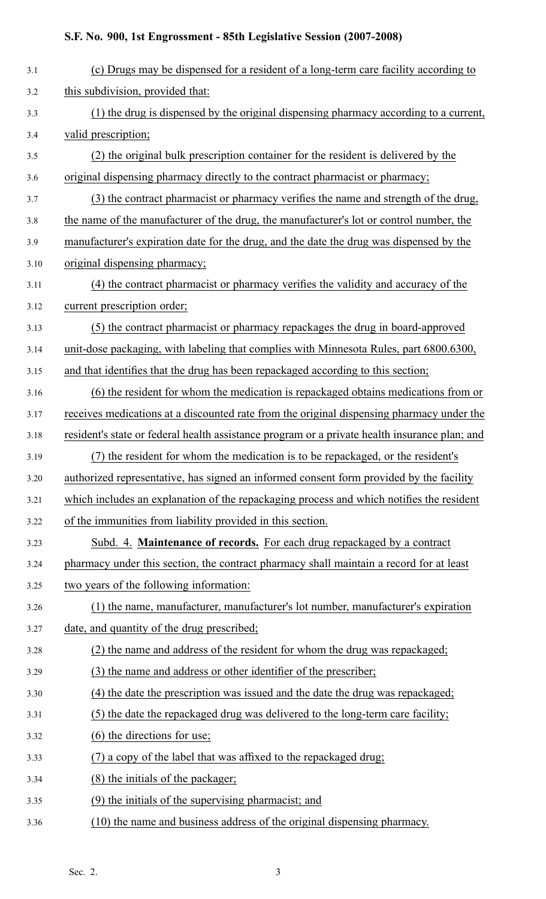## **S.F. No. 900, 1st Engrossment 85th Legislative Session (20072008)**

| 3.1  | (c) Drugs may be dispensed for a resident of a long-term care facility according to           |
|------|-----------------------------------------------------------------------------------------------|
| 3.2  | this subdivision, provided that:                                                              |
| 3.3  | (1) the drug is dispensed by the original dispensing pharmacy according to a current,         |
| 3.4  | valid prescription;                                                                           |
| 3.5  | (2) the original bulk prescription container for the resident is delivered by the             |
| 3.6  | original dispensing pharmacy directly to the contract pharmacist or pharmacy;                 |
| 3.7  | (3) the contract pharmacist or pharmacy verifies the name and strength of the drug,           |
| 3.8  | the name of the manufacturer of the drug, the manufacturer's lot or control number, the       |
| 3.9  | manufacturer's expiration date for the drug, and the date the drug was dispensed by the       |
| 3.10 | original dispensing pharmacy;                                                                 |
| 3.11 | (4) the contract pharmacist or pharmacy verifies the validity and accuracy of the             |
| 3.12 | current prescription order;                                                                   |
| 3.13 | (5) the contract pharmacist or pharmacy repackages the drug in board-approved                 |
| 3.14 | unit-dose packaging, with labeling that complies with Minnesota Rules, part 6800.6300,        |
| 3.15 | and that identifies that the drug has been repackaged according to this section;              |
| 3.16 | (6) the resident for whom the medication is repackaged obtains medications from or            |
| 3.17 | receives medications at a discounted rate from the original dispensing pharmacy under the     |
| 3.18 | resident's state or federal health assistance program or a private health insurance plan; and |
| 3.19 | (7) the resident for whom the medication is to be repackaged, or the resident's               |
| 3.20 | authorized representative, has signed an informed consent form provided by the facility       |
| 3.21 | which includes an explanation of the repackaging process and which notifies the resident      |
| 3.22 | of the immunities from liability provided in this section.                                    |
| 3.23 | Subd. 4. Maintenance of records. For each drug repackaged by a contract                       |
| 3.24 | pharmacy under this section, the contract pharmacy shall maintain a record for at least       |
| 3.25 | two years of the following information:                                                       |
| 3.26 | (1) the name, manufacturer, manufacturer's lot number, manufacturer's expiration              |
| 3.27 | date, and quantity of the drug prescribed;                                                    |
| 3.28 | (2) the name and address of the resident for whom the drug was repackaged;                    |
| 3.29 | (3) the name and address or other identifier of the prescriber;                               |
| 3.30 | (4) the date the prescription was issued and the date the drug was repackaged;                |
| 3.31 | (5) the date the repackaged drug was delivered to the long-term care facility;                |
| 3.32 | $(6)$ the directions for use;                                                                 |
| 3.33 | (7) a copy of the label that was affixed to the repackaged drug.                              |
| 3.34 | (8) the initials of the packager;                                                             |
| 3.35 | (9) the initials of the supervising pharmacist; and                                           |
| 3.36 | (10) the name and business address of the original dispensing pharmacy.                       |
|      |                                                                                               |